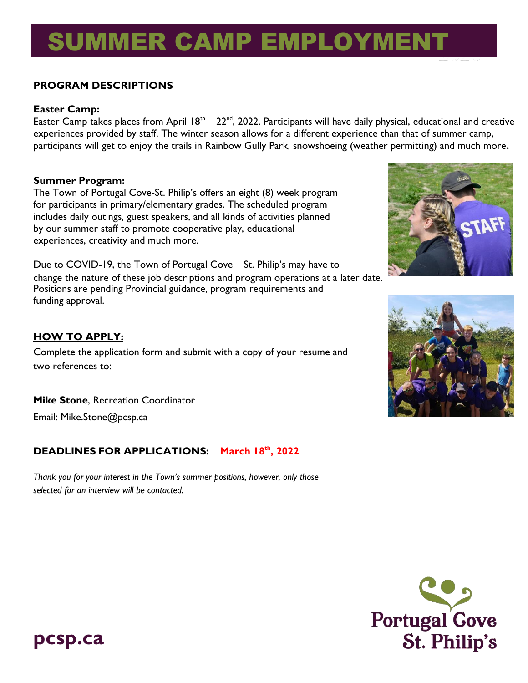# SUMMER CAMP EMPLOYMENT

#### **PROGRAM DESCRIPTIONS**

#### **Easter Camp:**

Easter Camp takes places from April  $18^{th} - 22^{nd}$ , 2022. Participants will have daily physical, educational and creative experiences provided by staff. The winter season allows for a different experience than that of summer camp, participants will get to enjoy the trails in Rainbow Gully Park, snowshoeing (weather permitting) and much more**.** 

#### **Summer Program:**

The Town of Portugal Cove-St. Philip's offers an eight (8) week program for participants in primary/elementary grades. The scheduled program includes daily outings, guest speakers, and all kinds of activities planned by our summer staff to promote cooperative play, educational experiences, creativity and much more.

Due to COVID-19, the Town of Portugal Cove – St. Philip's may have to change the nature of these job descriptions and program operations at a later date. Positions are pending Provincial guidance, program requirements and funding approval.

#### **HOW TO APPLY:**

Complete the application form and submit with a copy of your resume and two references to:

**Mike Stone**, Recreation Coordinator

Ema[il: Mike.Stone@pcsp.ca](mailto:Mike.Stone@pcsp.ca)

#### **DEADLINES FOR APPLICATIONS: March 18th, 2022**

*Thank you for your interest in the Town's summer positions, however, only those selected for an interview will be contacted.*





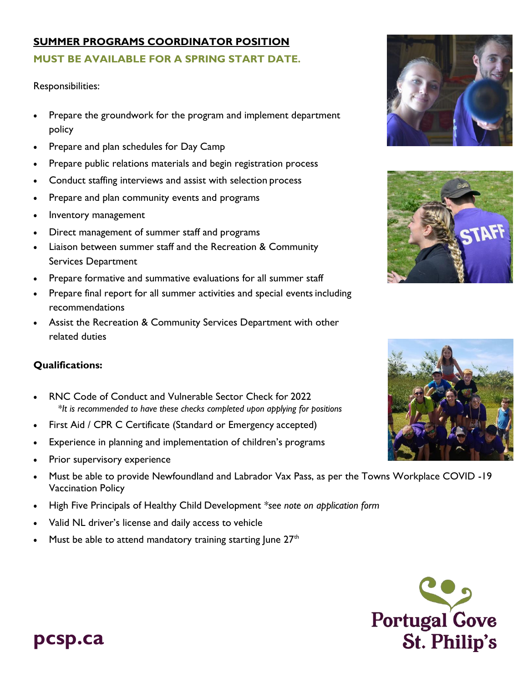#### **SUMMER PROGRAMS COORDINATOR POSITION MUST BE AVAILABLE FOR A SPRING START DATE.**

Responsibilities:

- Prepare the groundwork for the program and implement department policy
- Prepare and plan schedules for Day Camp
- Prepare public relations materials and begin registration process
- Conduct staffing interviews and assist with selection process
- Prepare and plan community events and programs
- Inventory management
- Direct management of summer staff and programs
- Liaison between summer staff and the Recreation & Community Services Department
- Prepare formative and summative evaluations for all summer staff
- Prepare final report for all summer activities and special events including recommendations
- Assist the Recreation & Community Services Department with other related duties

#### **Qualifications:**

- RNC Code of Conduct and Vulnerable Sector Check for 2022 *\*It is recommended to have these checks completed upon applying for positions*
- First Aid / CPR C Certificate (Standard or Emergency accepted)
- Experience in planning and implementation of children's programs
- Prior supervisory experience
- Must be able to provide Newfoundland and Labrador Vax Pass, as per the Towns Workplace COVID -19 Vaccination Policy
- High Five Principals of Healthy Child Development *\*see note on application form*
- Valid NL driver's license and daily access to vehicle
- Must be able to attend mandatory training starting June  $27<sup>th</sup>$







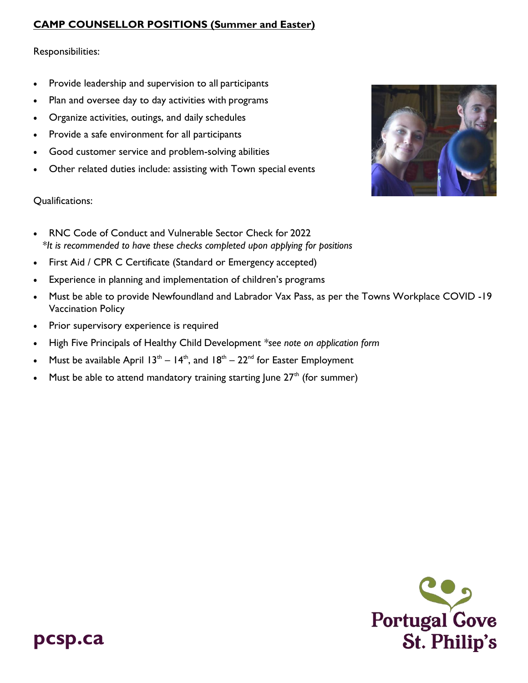#### **CAMP COUNSELLOR POSITIONS (Summer and Easter)**

Responsibilities:

- Provide leadership and supervision to all participants
- Plan and oversee day to day activities with programs
- Organize activities, outings, and daily schedules
- Provide a safe environment for all participants
- Good customer service and problem-solving abilities
- Other related duties include: assisting with Town special events

#### Qualifications:

- RNC Code of Conduct and Vulnerable Sector Check for 2022 *\*It is recommended to have these checks completed upon applying for positions*
- First Aid / CPR C Certificate (Standard or Emergency accepted)
- Experience in planning and implementation of children's programs
- Must be able to provide Newfoundland and Labrador Vax Pass, as per the Towns Workplace COVID -19 Vaccination Policy
- Prior supervisory experience is required
- High Five Principals of Healthy Child Development *\*see note on application form*
- Must be available April  $13<sup>th</sup> 14<sup>th</sup>$ , and  $18<sup>th</sup> 22<sup>nd</sup>$  for Easter Employment
- Must be able to attend mandatory training starting June  $27<sup>th</sup>$  (for summer)



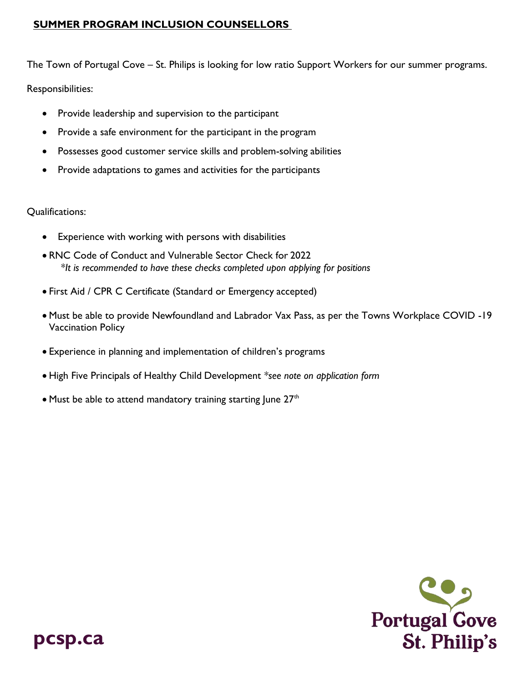#### **SUMMER PROGRAM INCLUSION COUNSELLORS**

The Town of Portugal Cove – St. Philips is looking for low ratio Support Workers for our summer programs.

Responsibilities:

- Provide leadership and supervision to the participant
- Provide a safe environment for the participant in the program
- Possesses good customer service skills and problem-solving abilities
- Provide adaptations to games and activities for the participants

Qualifications:

- Experience with working with persons with disabilities
- RNC Code of Conduct and Vulnerable Sector Check for 2022  *\*It is recommended to have these checks completed upon applying for positions*
- First Aid / CPR C Certificate (Standard or Emergency accepted)
- Must be able to provide Newfoundland and Labrador Vax Pass, as per the Towns Workplace COVID -19 Vaccination Policy
- Experience in planning and implementation of children's programs
- High Five Principals of Healthy Child Development *\*see note on application form*
- Must be able to attend mandatory training starting June  $27<sup>th</sup>$

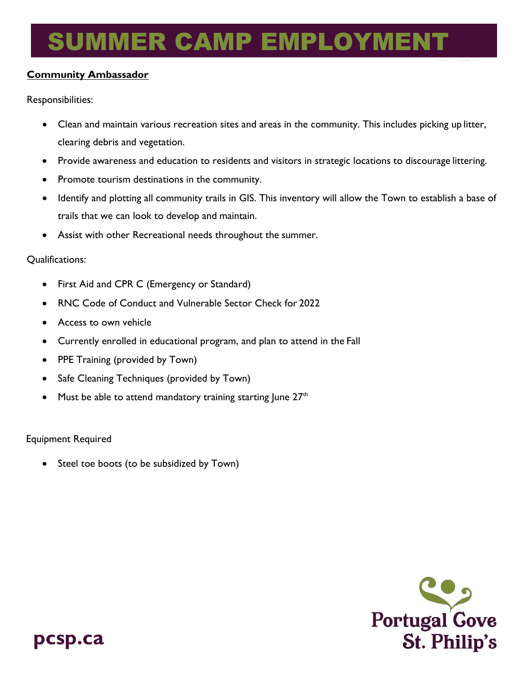# SUMMER CAMP EMPLOYMENT

#### **Community Ambassador**

Responsibilities:

- Clean and maintain various recreation sites and areas in the community. This includes picking up litter, clearing debris and vegetation.
- Provide awareness and education to residents and visitors in strategic locations to discourage littering.
- Promote tourism destinations in the community.
- Identify and plotting all community trails in GIS. This inventory will allow the Town to establish a base of trails that we can look to develop and maintain.
- Assist with other Recreational needs throughout the summer.

Qualifications:

- First Aid and CPR C (Emergency or Standard)
- RNC Code of Conduct and Vulnerable Sector Check for 2022
- Access to own vehicle
- Currently enrolled in educational program, and plan to attend in the Fall
- PPE Training (provided by Town)
- Safe Cleaning Techniques (provided by Town)
- Must be able to attend mandatory training starting June  $27<sup>th</sup>$

Equipment Required

• Steel toe boots (to be subsidized by Town)

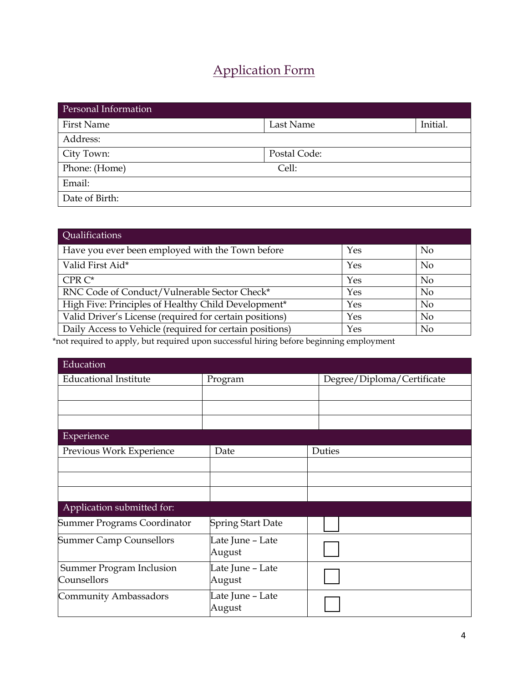### Application Form

| Personal Information |              |          |
|----------------------|--------------|----------|
| <b>First Name</b>    | Last Name    | Initial. |
| Address:             |              |          |
| City Town:           | Postal Code: |          |
| Phone: (Home)        | Cell:        |          |
| Email:               |              |          |
| Date of Birth:       |              |          |

| Qualifications                                           |     |                |
|----------------------------------------------------------|-----|----------------|
| Have you ever been employed with the Town before         | Yes | N <sub>o</sub> |
| Valid First Aid*                                         | Yes | <b>No</b>      |
| $CPR C^*$                                                | Yes | N <sub>o</sub> |
| RNC Code of Conduct/Vulnerable Sector Check*             | Yes | <b>No</b>      |
| High Five: Principles of Healthy Child Development*      | Yes | <b>No</b>      |
| Valid Driver's License (required for certain positions)  | Yes | <b>No</b>      |
| Daily Access to Vehicle (required for certain positions) | Yes | N <sub>o</sub> |

\*not required to apply, but required upon successful hiring before beginning employment

| Education                       |                            |                            |
|---------------------------------|----------------------------|----------------------------|
| <b>Educational Institute</b>    | Program                    | Degree/Diploma/Certificate |
|                                 |                            |                            |
|                                 |                            |                            |
|                                 |                            |                            |
| Experience                      |                            |                            |
| Previous Work Experience        | Date                       | Duties                     |
|                                 |                            |                            |
|                                 |                            |                            |
|                                 |                            |                            |
| Application submitted for:      |                            |                            |
| Summer Programs Coordinator     | <b>Spring Start Date</b>   |                            |
| <b>Summer Camp Counsellors</b>  | Late June – Late<br>August |                            |
| <b>Summer Program Inclusion</b> | Late June – Late           |                            |
| Counsellors                     | August                     |                            |
| Community Ambassadors           | Late June – Late<br>August |                            |